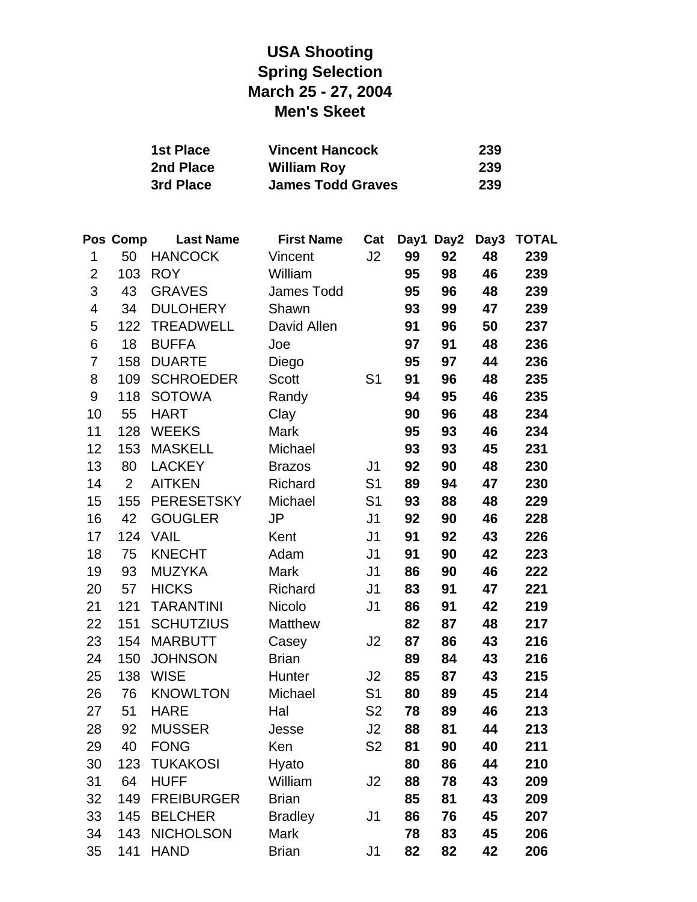# **USA Shooting Spring Selection March 25 - 27, 2004 Men's Skeet**

| 1st Place | <b>Vincent Hancock</b>   | 239 |
|-----------|--------------------------|-----|
| 2nd Place | <b>William Roy</b>       | 239 |
| 3rd Place | <b>James Todd Graves</b> | 239 |

|                         | Pos Comp       | <b>Last Name</b>  | <b>First Name</b> | Cat            | Day1 | Day2 | Day3 | <b>TOTAL</b> |
|-------------------------|----------------|-------------------|-------------------|----------------|------|------|------|--------------|
| 1                       | 50             | <b>HANCOCK</b>    | Vincent           | J2             | 99   | 92   | 48   | 239          |
| $\mathbf{2}$            | 103            | <b>ROY</b>        | William           |                | 95   | 98   | 46   | 239          |
| 3                       | 43             | <b>GRAVES</b>     | James Todd        |                | 95   | 96   | 48   | 239          |
| $\overline{\mathbf{4}}$ | 34             | <b>DULOHERY</b>   | Shawn             |                | 93   | 99   | 47   | 239          |
| 5                       | 122            | <b>TREADWELL</b>  | David Allen       |                | 91   | 96   | 50   | 237          |
| $\,6$                   | 18             | <b>BUFFA</b>      | Joe               |                | 97   | 91   | 48   | 236          |
| 7                       | 158            | <b>DUARTE</b>     | Diego             |                | 95   | 97   | 44   | 236          |
| 8                       | 109            | <b>SCHROEDER</b>  | <b>Scott</b>      | S <sub>1</sub> | 91   | 96   | 48   | 235          |
| $\boldsymbol{9}$        | 118            | <b>SOTOWA</b>     | Randy             |                | 94   | 95   | 46   | 235          |
| 10                      | 55             | <b>HART</b>       | Clay              |                | 90   | 96   | 48   | 234          |
| 11                      | 128            | <b>WEEKS</b>      | Mark              |                | 95   | 93   | 46   | 234          |
| 12                      | 153            | <b>MASKELL</b>    | Michael           |                | 93   | 93   | 45   | 231          |
| 13                      | 80             | <b>LACKEY</b>     | <b>Brazos</b>     | J <sub>1</sub> | 92   | 90   | 48   | 230          |
| 14                      | $\overline{2}$ | <b>AITKEN</b>     | Richard           | S <sub>1</sub> | 89   | 94   | 47   | 230          |
| 15                      | 155            | <b>PERESETSKY</b> | Michael           | S <sub>1</sub> | 93   | 88   | 48   | 229          |
| 16                      | 42             | <b>GOUGLER</b>    | <b>JP</b>         | J <sub>1</sub> | 92   | 90   | 46   | 228          |
| 17                      | 124            | <b>VAIL</b>       | Kent              | J <sub>1</sub> | 91   | 92   | 43   | 226          |
| 18                      | 75             | <b>KNECHT</b>     | Adam              | J <sub>1</sub> | 91   | 90   | 42   | 223          |
| 19                      | 93             | <b>MUZYKA</b>     | Mark              | J <sub>1</sub> | 86   | 90   | 46   | 222          |
| 20                      | 57             | <b>HICKS</b>      | Richard           | J <sub>1</sub> | 83   | 91   | 47   | 221          |
| 21                      | 121            | <b>TARANTINI</b>  | Nicolo            | J <sub>1</sub> | 86   | 91   | 42   | 219          |
| 22                      | 151            | <b>SCHUTZIUS</b>  | Matthew           |                | 82   | 87   | 48   | 217          |
| 23                      | 154            | <b>MARBUTT</b>    | Casey             | J2             | 87   | 86   | 43   | 216          |
| 24                      | 150            | <b>JOHNSON</b>    | <b>Brian</b>      |                | 89   | 84   | 43   | 216          |
| 25                      | 138            | <b>WISE</b>       | Hunter            | J2             | 85   | 87   | 43   | 215          |
| 26                      | 76             | <b>KNOWLTON</b>   | Michael           | S <sub>1</sub> | 80   | 89   | 45   | 214          |
| 27                      | 51             | <b>HARE</b>       | Hal               | S <sub>2</sub> | 78   | 89   | 46   | 213          |
| 28                      | 92             | <b>MUSSER</b>     | Jesse             | J2             | 88   | 81   | 44   | 213          |
| 29                      | 40             | <b>FONG</b>       | Ken               | S <sub>2</sub> | 81   | 90   | 40   | 211          |
| 30                      | 123            | <b>TUKAKOSI</b>   | Hyato             |                | 80   | 86   | 44   | 210          |
| 31                      | 64             | <b>HUFF</b>       | William           | J2             | 88   | 78   | 43   | 209          |
| 32                      | 149            | <b>FREIBURGER</b> | <b>Brian</b>      |                | 85   | 81   | 43   | 209          |
| 33                      | 145            | <b>BELCHER</b>    | <b>Bradley</b>    | J <sub>1</sub> | 86   | 76   | 45   | 207          |
| 34                      | 143            | <b>NICHOLSON</b>  | <b>Mark</b>       |                | 78   | 83   | 45   | 206          |
| 35                      | 141            | <b>HAND</b>       | <b>Brian</b>      | J1             | 82   | 82   | 42   | 206          |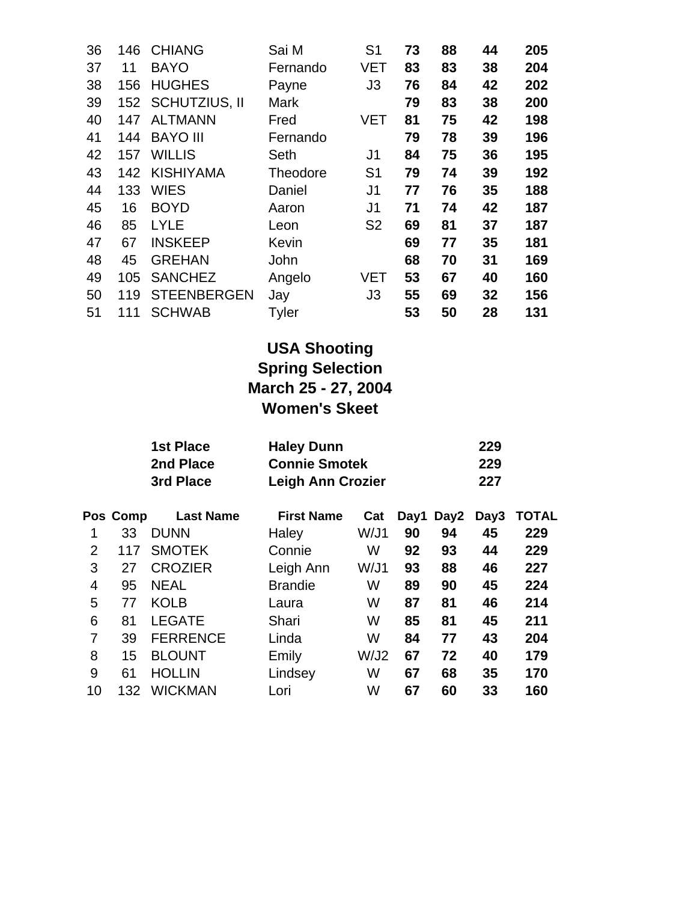| 36 | 146 | <b>CHIANG</b>      | Sai M       | S <sub>1</sub> | 73 | 88 | 44 | 205 |
|----|-----|--------------------|-------------|----------------|----|----|----|-----|
| 37 | 11  | <b>BAYO</b>        | Fernando    | VET            | 83 | 83 | 38 | 204 |
| 38 | 156 | <b>HUGHES</b>      | Payne       | J <sub>3</sub> | 76 | 84 | 42 | 202 |
| 39 |     | 152 SCHUTZIUS, II  | <b>Mark</b> |                | 79 | 83 | 38 | 200 |
| 40 | 147 | <b>ALTMANN</b>     | Fred        | VET            | 81 | 75 | 42 | 198 |
| 41 | 144 | <b>BAYO III</b>    | Fernando    |                | 79 | 78 | 39 | 196 |
| 42 | 157 | <b>WILLIS</b>      | Seth        | J1             | 84 | 75 | 36 | 195 |
| 43 | 142 | <b>KISHIYAMA</b>   | Theodore    | S <sub>1</sub> | 79 | 74 | 39 | 192 |
| 44 | 133 | <b>WIES</b>        | Daniel      | J1             | 77 | 76 | 35 | 188 |
| 45 | 16  | <b>BOYD</b>        | Aaron       | J1             | 71 | 74 | 42 | 187 |
| 46 | 85  | <b>LYLE</b>        | Leon        | S <sub>2</sub> | 69 | 81 | 37 | 187 |
| 47 | 67  | <b>INSKEEP</b>     | Kevin       |                | 69 | 77 | 35 | 181 |
| 48 | 45  | <b>GREHAN</b>      | John        |                | 68 | 70 | 31 | 169 |
| 49 | 105 | <b>SANCHEZ</b>     | Angelo      | VET            | 53 | 67 | 40 | 160 |
| 50 | 119 | <b>STEENBERGEN</b> | Jay         | J3             | 55 | 69 | 32 | 156 |
| 51 | 111 | <b>SCHWAB</b>      | Tyler       |                | 53 | 50 | 28 | 131 |

# **USA Shooting Spring Selection March 25 - 27, 2004 Women's Skeet**

| 1st Place | <b>Haley Dunn</b>        | 229  |
|-----------|--------------------------|------|
| 2nd Place | <b>Connie Smotek</b>     | 229  |
| 3rd Place | <b>Leigh Ann Crozier</b> | -227 |

|    | Pos Comp | <b>Last Name</b> | <b>First Name</b> | Cat  |    | Day1 Day2 | Day3 | <b>TOTAL</b> |
|----|----------|------------------|-------------------|------|----|-----------|------|--------------|
|    | 33       | <b>DUNN</b>      | Haley             | W/J1 | 90 | 94        | 45   | 229          |
| 2  | 117      | <b>SMOTEK</b>    | Connie            | W    | 92 | 93        | 44   | 229          |
| 3  | 27       | <b>CROZIER</b>   | Leigh Ann         | W/J1 | 93 | 88        | 46   | 227          |
| 4  | 95       | <b>NEAL</b>      | <b>Brandie</b>    | W    | 89 | 90        | 45   | 224          |
| 5  | 77       | <b>KOLB</b>      | Laura             | W    | 87 | 81        | 46   | 214          |
| 6  | 81       | <b>LEGATE</b>    | Shari             | W    | 85 | 81        | 45   | 211          |
| 7  | 39       | <b>FERRENCE</b>  | Linda             | W    | 84 | 77        | 43   | 204          |
| 8  | 15       | <b>BLOUNT</b>    | Emily             | W/J2 | 67 | 72        | 40   | 179          |
| 9  | 61       | <b>HOLLIN</b>    | Lindsey           | W    | 67 | 68        | 35   | 170          |
| 10 | 132      | <b>WICKMAN</b>   | Lori              | W    | 67 | 60        | 33   | 160          |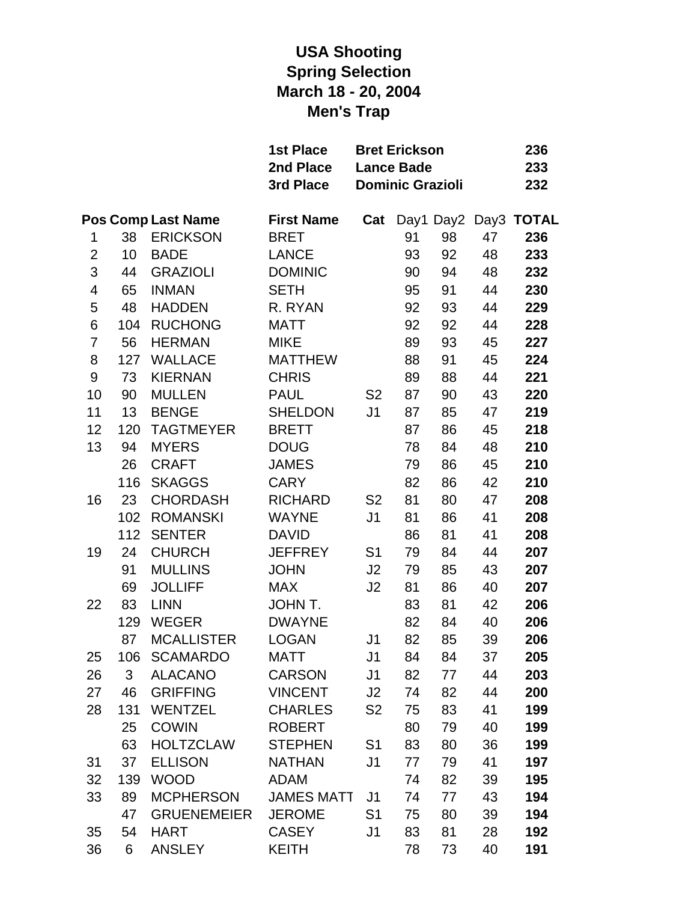# **USA Shooting Spring Selection March 18 - 20, 2004 Men's Trap**

|                         |     |                           | <b>1st Place</b><br><b>Bret Erickson</b><br>2nd Place<br><b>Lance Bade</b><br><b>Dominic Grazioli</b><br>3rd Place |                |    |           |    | 236<br>233<br>232 |  |
|-------------------------|-----|---------------------------|--------------------------------------------------------------------------------------------------------------------|----------------|----|-----------|----|-------------------|--|
|                         |     | <b>Pos Comp Last Name</b> | <b>First Name</b>                                                                                                  | Cat            |    | Day1 Day2 |    | Day3 TOTAL        |  |
| 1                       | 38  | <b>ERICKSON</b>           | <b>BRET</b>                                                                                                        |                | 91 | 98        | 47 | 236               |  |
| $\overline{2}$          | 10  | <b>BADE</b>               | <b>LANCE</b>                                                                                                       |                | 93 | 92        | 48 | 233               |  |
| 3                       | 44  | <b>GRAZIOLI</b>           | <b>DOMINIC</b>                                                                                                     |                | 90 | 94        | 48 | 232               |  |
| $\overline{\mathbf{4}}$ | 65  | <b>INMAN</b>              | <b>SETH</b>                                                                                                        |                | 95 | 91        | 44 | 230               |  |
| 5                       | 48  | <b>HADDEN</b>             | R. RYAN                                                                                                            |                | 92 | 93        | 44 | 229               |  |
| 6                       | 104 | <b>RUCHONG</b>            | <b>MATT</b>                                                                                                        |                | 92 | 92        | 44 | 228               |  |
| 7                       | 56  | <b>HERMAN</b>             | <b>MIKE</b>                                                                                                        |                | 89 | 93        | 45 | 227               |  |
| 8                       | 127 | <b>WALLACE</b>            | <b>MATTHEW</b>                                                                                                     |                | 88 | 91        | 45 | 224               |  |
| 9                       | 73  | <b>KIERNAN</b>            | <b>CHRIS</b>                                                                                                       |                | 89 | 88        | 44 | 221               |  |
| 10                      | 90  | <b>MULLEN</b>             | <b>PAUL</b>                                                                                                        | S <sub>2</sub> | 87 | 90        | 43 | 220               |  |
| 11                      | 13  | <b>BENGE</b>              | <b>SHELDON</b>                                                                                                     | J <sub>1</sub> | 87 | 85        | 47 | 219               |  |
| 12                      | 120 | <b>TAGTMEYER</b>          | <b>BRETT</b>                                                                                                       |                | 87 | 86        | 45 | 218               |  |
| 13                      | 94  | <b>MYERS</b>              | <b>DOUG</b>                                                                                                        |                | 78 | 84        | 48 | 210               |  |
|                         | 26  | <b>CRAFT</b>              | <b>JAMES</b>                                                                                                       |                | 79 | 86        | 45 | 210               |  |
|                         | 116 | <b>SKAGGS</b>             | <b>CARY</b>                                                                                                        |                | 82 | 86        | 42 | 210               |  |
| 16                      | 23  | <b>CHORDASH</b>           | <b>RICHARD</b>                                                                                                     | S <sub>2</sub> | 81 | 80        | 47 | 208               |  |
|                         | 102 | <b>ROMANSKI</b>           | <b>WAYNE</b>                                                                                                       | J <sub>1</sub> | 81 | 86        | 41 | 208               |  |
|                         | 112 | <b>SENTER</b>             | <b>DAVID</b>                                                                                                       |                | 86 | 81        | 41 | 208               |  |
| 19                      | 24  | <b>CHURCH</b>             | <b>JEFFREY</b>                                                                                                     | S <sub>1</sub> | 79 | 84        | 44 | 207               |  |
|                         | 91  | <b>MULLINS</b>            | <b>JOHN</b>                                                                                                        | J <sub>2</sub> | 79 | 85        | 43 | 207               |  |
|                         | 69  | <b>JOLLIFF</b>            | <b>MAX</b>                                                                                                         | J <sub>2</sub> | 81 | 86        | 40 | 207               |  |
| 22                      | 83  | <b>LINN</b>               | <b>JOHN T.</b>                                                                                                     |                | 83 | 81        | 42 | 206               |  |
|                         | 129 | <b>WEGER</b>              | <b>DWAYNE</b>                                                                                                      |                | 82 | 84        | 40 | 206               |  |
|                         | 87  | <b>MCALLISTER</b>         | <b>LOGAN</b>                                                                                                       | J1             | 82 | 85        | 39 | 206               |  |
| 25                      | 106 | <b>SCAMARDO</b>           | MATT                                                                                                               | J <sub>1</sub> | 84 | 84        | 37 | 205               |  |
| 26                      | 3   | <b>ALACANO</b>            | <b>CARSON</b>                                                                                                      | J <sub>1</sub> | 82 | 77        | 44 | 203               |  |
| 27                      | 46  | <b>GRIFFING</b>           | <b>VINCENT</b>                                                                                                     | J2             | 74 | 82        | 44 | 200               |  |
| 28                      | 131 | <b>WENTZEL</b>            | <b>CHARLES</b>                                                                                                     | S <sub>2</sub> | 75 | 83        | 41 | 199               |  |
|                         | 25  | <b>COWIN</b>              | <b>ROBERT</b>                                                                                                      |                | 80 | 79        | 40 | 199               |  |
|                         | 63  | <b>HOLTZCLAW</b>          | <b>STEPHEN</b>                                                                                                     | S <sub>1</sub> | 83 | 80        | 36 | 199               |  |
| 31                      | 37  | <b>ELLISON</b>            | <b>NATHAN</b>                                                                                                      | J <sub>1</sub> | 77 | 79        | 41 | 197               |  |
| 32                      | 139 | <b>WOOD</b>               | <b>ADAM</b>                                                                                                        |                | 74 | 82        | 39 | 195               |  |
| 33                      | 89  | <b>MCPHERSON</b>          | <b>JAMES MATT</b>                                                                                                  | J <sub>1</sub> | 74 | 77        | 43 | 194               |  |
|                         | 47  | <b>GRUENEMEIER</b>        | <b>JEROME</b>                                                                                                      | S <sub>1</sub> | 75 | 80        | 39 | 194               |  |
| 35                      | 54  | <b>HART</b>               | <b>CASEY</b>                                                                                                       | J <sub>1</sub> | 83 | 81        | 28 | 192               |  |
| 36                      | 6   | <b>ANSLEY</b>             | <b>KEITH</b>                                                                                                       |                | 78 | 73        | 40 | 191               |  |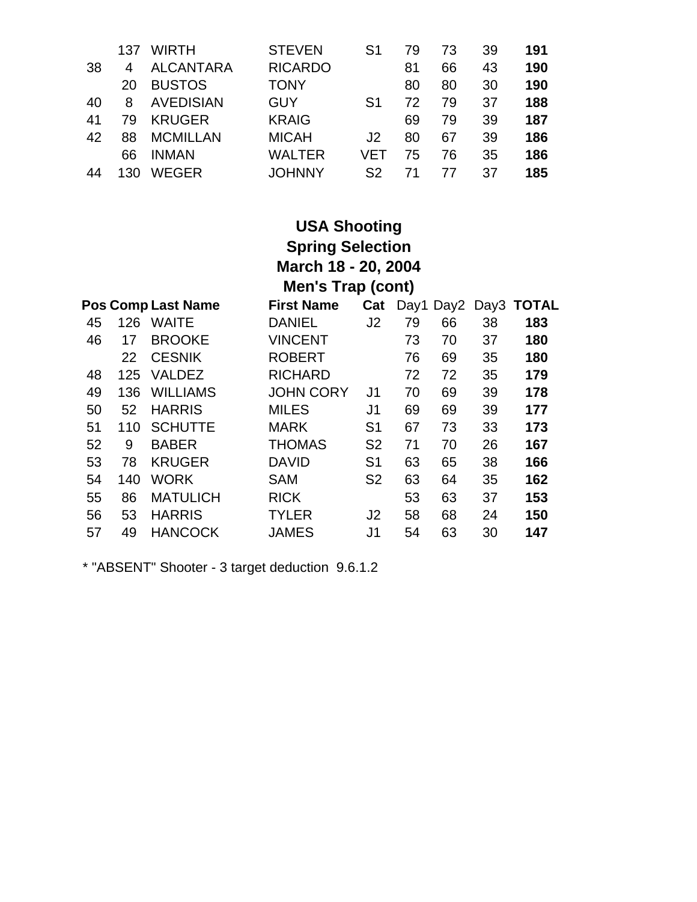| 38       | 137<br>4       | <b>WIRTH</b><br><b>ALCANTARA</b>                   | <b>STEVEN</b><br><b>RICARDO</b>           | S1             | 79<br>81       | 73<br>66       | 39<br>43       | 191<br>190        |
|----------|----------------|----------------------------------------------------|-------------------------------------------|----------------|----------------|----------------|----------------|-------------------|
| 40<br>41 | 20<br>8        | <b>BUSTOS</b><br><b>AVEDISIAN</b><br><b>KRUGER</b> | <b>TONY</b><br><b>GUY</b><br><b>KRAIG</b> | S1             | 80<br>72       | 80<br>79       | 30<br>37<br>39 | 190<br>188<br>187 |
| 42       | 79<br>88<br>66 | <b>MCMILLAN</b><br><b>INMAN</b>                    | <b>MICAH</b><br><b>WALTER</b>             | .12<br>VFT     | 69<br>80<br>75 | 79<br>67<br>76 | 39<br>35       | 186<br>186        |
| 44       | 130            | <b>WEGER</b>                                       | <b>JOHNNY</b>                             | S <sub>2</sub> |                | 77             | 37             | 185               |

|    |                     |                           | <b>USA Shooting</b>      |                |      |      |    |            |  |  |
|----|---------------------|---------------------------|--------------------------|----------------|------|------|----|------------|--|--|
|    |                     |                           | <b>Spring Selection</b>  |                |      |      |    |            |  |  |
|    | March 18 - 20, 2004 |                           |                          |                |      |      |    |            |  |  |
|    |                     |                           | <b>Men's Trap (cont)</b> |                |      |      |    |            |  |  |
|    |                     | <b>Pos Comp Last Name</b> | <b>First Name</b>        | Cat            | Day1 | Day2 |    | Day3 TOTAL |  |  |
| 45 | 126                 | <b>WAITE</b>              | DANIEL                   | J2             | 79   | 66   | 38 | 183        |  |  |
| 46 | 17                  | <b>BROOKE</b>             | <b>VINCENT</b>           |                | 73   | 70   | 37 | 180        |  |  |
|    | 22                  | <b>CESNIK</b>             | <b>ROBERT</b>            |                | 76   | 69   | 35 | 180        |  |  |
| 48 | 125                 | <b>VALDEZ</b>             | <b>RICHARD</b>           |                | 72   | 72   | 35 | 179        |  |  |
| 49 | 136                 | <b>WILLIAMS</b>           | <b>JOHN CORY</b>         | J1             | 70   | 69   | 39 | 178        |  |  |
| 50 | 52                  | <b>HARRIS</b>             | MILES                    | J <sub>1</sub> | 69   | 69   | 39 | 177        |  |  |
| 51 | 110                 | <b>SCHUTTE</b>            | MARK                     | S <sub>1</sub> | 67   | 73   | 33 | 173        |  |  |
| 52 | 9                   | <b>BABER</b>              | THOMAS                   | S <sub>2</sub> | 71   | 70   | 26 | 167        |  |  |
| 53 | 78                  | <b>KRUGER</b>             | <b>DAVID</b>             | S <sub>1</sub> | 63   | 65   | 38 | 166        |  |  |
| 54 | 140                 | <b>WORK</b>               | <b>SAM</b>               | S <sub>2</sub> | 63   | 64   | 35 | 162        |  |  |
| 55 | 86                  | <b>MATULICH</b>           | <b>RICK</b>              |                | 53   | 63   | 37 | 153        |  |  |
| 56 | 53                  | <b>HARRIS</b>             | TYLER                    | J2             | 58   | 68   | 24 | 150        |  |  |
| 57 | 49                  | <b>HANCOCK</b>            | JAMES                    | J1             | 54   | 63   | 30 | 147        |  |  |

\* "ABSENT" Shooter - 3 target deduction 9.6.1.2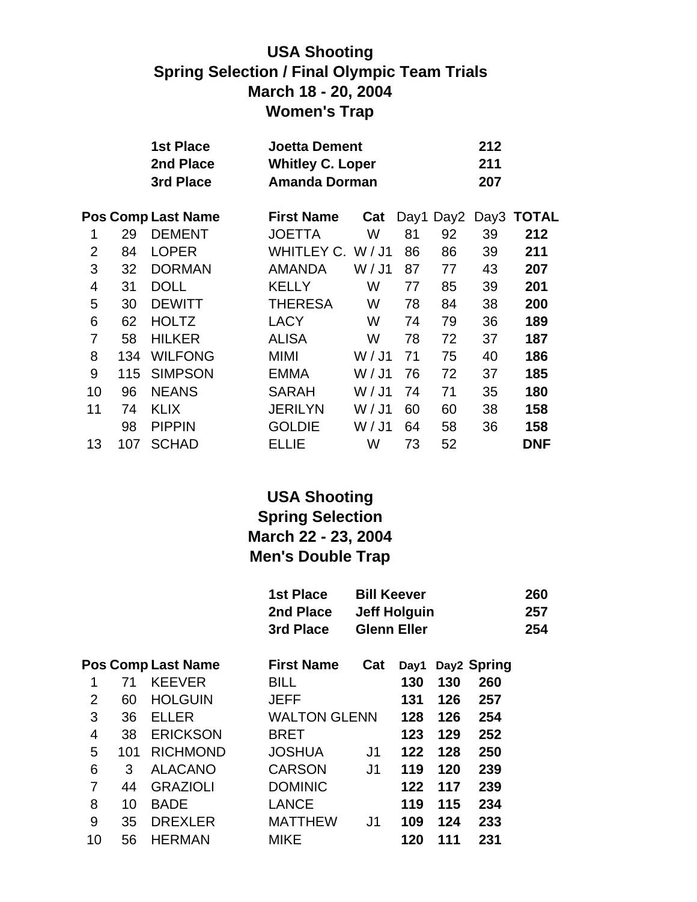### **USA Shooting Spring Selection / Final Olympic Team Trials March 18 - 20, 2004 Women's Trap**

|                |     | <b>1st Place</b>          | <b>Joetta Dement</b>    |        |    |    | 212 |                      |
|----------------|-----|---------------------------|-------------------------|--------|----|----|-----|----------------------|
|                |     | 2nd Place                 | <b>Whitley C. Loper</b> |        |    |    | 211 |                      |
|                |     | 3rd Place                 | <b>Amanda Dorman</b>    |        |    |    | 207 |                      |
|                |     | <b>Pos Comp Last Name</b> | <b>First Name</b>       | Cat    |    |    |     | Day1 Day2 Day3 TOTAL |
| 1              | 29  | <b>DEMENT</b>             | <b>JOETTA</b>           | W      | 81 | 92 | 39  | 212                  |
| $\overline{2}$ | 84  | <b>LOPER</b>              | WHITLEY C. W/J1         |        | 86 | 86 | 39  | 211                  |
| 3              | 32  | <b>DORMAN</b>             | <b>AMANDA</b>           | W / J1 | 87 | 77 | 43  | 207                  |
| 4              | 31  | <b>DOLL</b>               | <b>KELLY</b>            | W      | 77 | 85 | 39  | 201                  |
| 5              | 30  | <b>DEWITT</b>             | <b>THERESA</b>          | W      | 78 | 84 | 38  | 200                  |
| 6              | 62  | <b>HOLTZ</b>              | <b>LACY</b>             | W      | 74 | 79 | 36  | 189                  |
| 7              | 58  | <b>HILKER</b>             | <b>ALISA</b>            | W      | 78 | 72 | 37  | 187                  |
| 8              | 134 | <b>WILFONG</b>            | MIMI                    | W / J1 | 71 | 75 | 40  | 186                  |
| 9              | 115 | <b>SIMPSON</b>            | <b>EMMA</b>             | W / J1 | 76 | 72 | 37  | 185                  |
| 10             | 96  | <b>NEANS</b>              | <b>SARAH</b>            | W / J1 | 74 | 71 | 35  | 180                  |
| 11             | 74  | <b>KLIX</b>               | <b>JERILYN</b>          | W / J1 | 60 | 60 | 38  | 158                  |
|                | 98  | <b>PIPPIN</b>             | <b>GOLDIE</b>           | W / J1 | 64 | 58 | 36  | 158                  |
| 13             | 107 | <b>SCHAD</b>              | ELLIE                   | W      | 73 | 52 |     | <b>DNF</b>           |
|                |     |                           |                         |        |    |    |     |                      |

### **USA Shooting Spring Selection March 22 - 23, 2004 Men's Double Trap**

|                |     |                           | <b>1st Place</b><br>2nd Place<br>3rd Place | <b>Bill Keever</b> | <b>Jeff Holguin</b><br><b>Glenn Eller</b> |     |             | 260<br>257<br>254 |
|----------------|-----|---------------------------|--------------------------------------------|--------------------|-------------------------------------------|-----|-------------|-------------------|
|                |     | <b>Pos Comp Last Name</b> | <b>First Name</b>                          | Cat                | Day1                                      |     | Day2 Spring |                   |
| 1              | 71  | <b>KEEVER</b>             | <b>BILL</b>                                |                    | 130                                       | 130 | 260         |                   |
| $\overline{2}$ | 60  | <b>HOLGUIN</b>            | <b>JEFF</b>                                |                    | 131                                       | 126 | 257         |                   |
| 3              | 36  | <b>ELLER</b>              | <b>WALTON GLENN</b>                        |                    | 128                                       | 126 | 254         |                   |
| 4              | 38  | <b>ERICKSON</b>           | <b>BRET</b>                                |                    | 123                                       | 129 | 252         |                   |
| 5              | 101 | <b>RICHMOND</b>           | <b>JOSHUA</b>                              | J <sub>1</sub>     | 122                                       | 128 | 250         |                   |
| 6              | 3   | <b>ALACANO</b>            | <b>CARSON</b>                              | J1                 | 119                                       | 120 | 239         |                   |
| 7              | 44  | <b>GRAZIOLI</b>           | <b>DOMINIC</b>                             |                    | 122                                       | 117 | 239         |                   |
| 8              | 10  | <b>BADE</b>               | <b>LANCE</b>                               |                    | 119                                       | 115 | 234         |                   |
| 9              | 35  | <b>DREXLER</b>            | <b>MATTHEW</b>                             | J <sub>1</sub>     | 109                                       | 124 | 233         |                   |
| 10             | 56  | <b>HERMAN</b>             | <b>MIKE</b>                                |                    | 120                                       | 111 | 231         |                   |